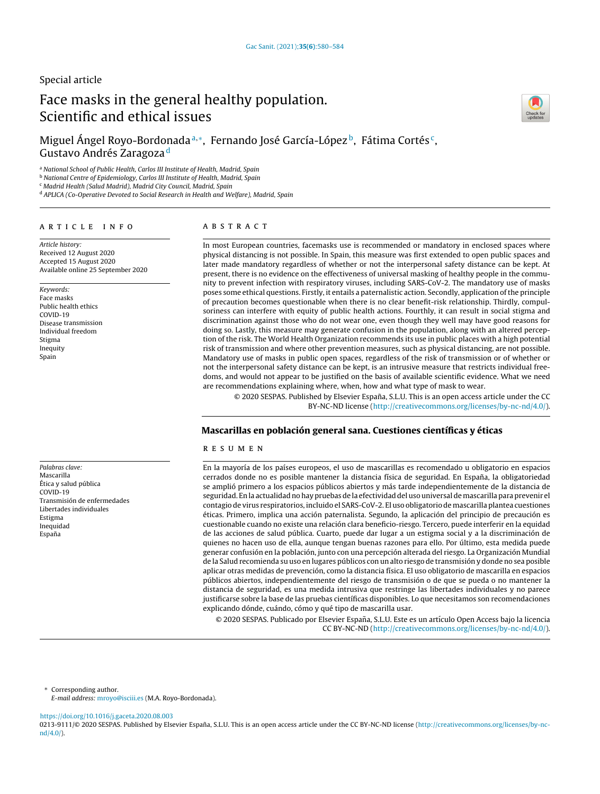# Special article

# Face masks in the general healthy population. Scientific and ethical issues



<sup>a</sup> *National School of Public Health, Carlos III Institute of Health, Madrid, Spain*

<sup>b</sup> *National Centre of Epidemiology, Carlos III Institute of Health, Madrid, Spain*

<sup>c</sup> *Madrid Health (Salud Madrid), Madrid City Council, Madrid, Spain*

<sup>d</sup> *APLICA (Co-Operative Devoted to Social Research in Health and Welfare), Madrid, Spain*

# a r t i c l e i n f o

*Article history:* Received 12 August 2020 Accepted 15 August 2020 Available online 25 September 2020

*Keywords:* Face masks Public health ethics COVID-19 Disease transmission Individual freedom Stigma Inequity Spain

*Palabras clave:* Mascarilla Ética y salud pública COVID-19 Transmisión de enfermedades Libertades individuales Estigma Inequidad España

## A B S T R A C T

In most European countries, facemasks use is recommended or mandatory in enclosed spaces where physical distancing is not possible. In Spain, this measure was first extended to open public spaces and later made mandatory regardless of whether or not the interpersonal safety distance can be kept. At present, there is no evidence on the effectiveness of universal masking of healthy people in the community to prevent infection with respiratory viruses, including SARS-CoV-2. The mandatory use of masks poses some ethical questions. Firstly, it entails a paternalistic action. Secondly, application ofthe principle of precaution becomes questionable when there is no clear benefit-risk relationship. Thirdly, compulsoriness can interfere with equity of public health actions. Fourthly, it can result in social stigma and discrimination against those who do not wear one, even though they well may have good reasons for doing so. Lastly, this measure may generate confusion in the population, along with an altered perception of the risk. The World Health Organization recommends its use in public places with a high potential risk of transmission and where other prevention measures, such as physical distancing, are not possible. Mandatory use of masks in public open spaces, regardless of the risk of transmission or of whether or not the interpersonal safety distance can be kept, is an intrusive measure that restricts individual freedoms, and would not appear to be justified on the basis of available scientific evidence. What we need are recommendations explaining where, when, how and what type of mask to wear.

© 2020 SESPAS. Published by Elsevier España, S.L.U. This is an open access article under the CC BY-NC-ND license [\(http://creativecommons.org/licenses/by-nc-nd/4.0/](http://creativecommons.org/licenses/by-nc-nd/4.0/)).

# Mascarillas en población general sana. Cuestiones científicas y éticas

# r e s u m e n

En la mayoría de los países europeos, el uso de mascarillas es recomendado u obligatorio en espacios cerrados donde no es posible mantener la distancia física de seguridad. En España, la obligatoriedad se amplió primero a los espacios públicos abiertos y más tarde independientemente de la distancia de seguridad. En la actualidad no hay pruebas de la efectividad del uso universal de mascarilla para prevenir el contagio de virus respiratorios, incluido el SARS-CoV-2. El uso obligatorio demascarilla plantea cuestiones éticas. Primero, implica una acción paternalista. Segundo, la aplicación del principio de precaución es cuestionable cuando no existe una relación clara beneficio-riesgo. Tercero, puede interferir en la equidad de las acciones de salud pública. Cuarto, puede dar lugar a un estigma social y a la discriminación de quienes no hacen uso de ella, aunque tengan buenas razones para ello. Por último, esta medida puede generar confusión en la población, junto con una percepción alterada del riesgo. La Organización Mundial de la Salud recomienda su uso en lugares públicos con un alto riesgo de transmisión y donde no sea posible aplicar otras medidas de prevención, como la distancia física. El uso obligatorio de mascarilla en espacios públicos abiertos, independientemente del riesgo de transmisión o de que se pueda o no mantener la distancia de seguridad, es una medida intrusiva que restringe las libertades individuales y no parece justificarse sobre la base de las pruebas científicas disponibles. Lo que necesitamos son recomendaciones explicando dónde, cuándo, cómo y qué tipo de mascarilla usar.

© 2020 SESPAS. Publicado por Elsevier España, S.L.U. Este es un artículo Open Access bajo la licencia CC BY-NC-ND [\(http://creativecommons.org/licenses/by-nc-nd/4.0/](http://creativecommons.org/licenses/by-nc-nd/4.0/)).

∗ Corresponding author.

*E-mail address:* [mroyo@isciii.es](mailto:mroyo@isciii.es) (M.A. Royo-Bordonada).

<https://doi.org/10.1016/j.gaceta.2020.08.003>

0213-9111/© 2020 SESPAS. Published by Elsevier España, S.L.U. This is an open access article under the CC BY-NC-ND license [\(http://creativecommons.org/licenses/by-nc](http://creativecommons.org/licenses/by-nc-nd/4.0/)[nd/4.0/\)](http://creativecommons.org/licenses/by-nc-nd/4.0/).

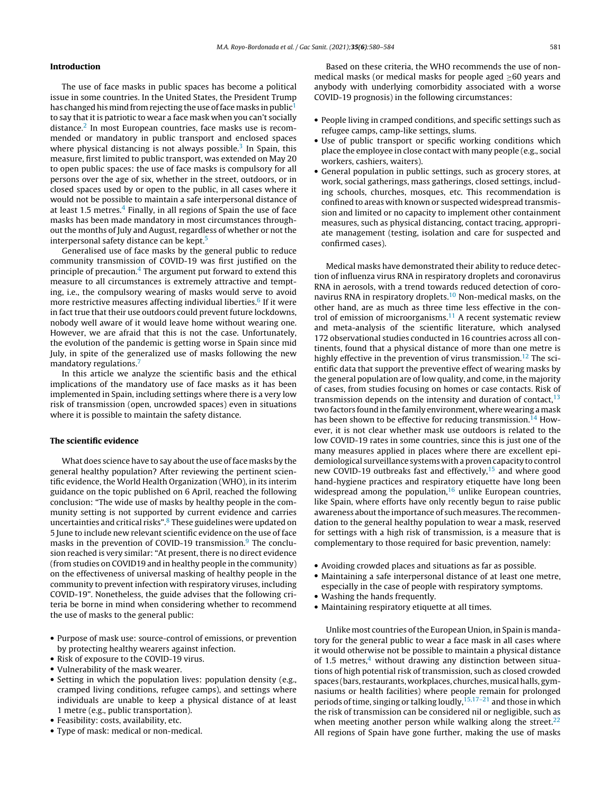### Introduction

The use of face masks in public spaces has become a political issue in some countries. In the United States, the President Trump has changed his mind from rejecting the use of face masks in public<sup>[1](#page-3-0)</sup> to say that it is patriotic to wear a face mask when you can't socially distance.<sup>[2](#page-3-0)</sup> In most European countries, face masks use is recommended or mandatory in public transport and enclosed spaces where physical distancing is not always possible.<sup>[3](#page-3-0)</sup> In Spain, this measure, first limited to public transport, was extended on May 20 to open public spaces: the use of face masks is compulsory for all persons over the age of six, whether in the street, outdoors, or in closed spaces used by or open to the public, in all cases where it would not be possible to maintain a safe interpersonal distance of at least 1.5 metres.<sup>[4](#page-3-0)</sup> Finally, in all regions of Spain the use of face masks has been made mandatory in most circumstances throughout the months of July and August, regardless of whether or not the interpersonal safety distance can be kept.<sup>[5](#page-3-0)</sup>

Generalised use of face masks by the general public to reduce community transmission of COVID-19 was first justified on the principle of precaution.<sup>4</sup> [T](#page-3-0)he argument put forward to extend this measure to all circumstances is extremely attractive and tempting, i.e., the compulsory wearing of masks would serve to avoid more restrictive measures affecting individual liberties.<sup>6</sup> [If](#page-3-0) it were in fact true that their use outdoors could prevent future lockdowns, nobody well aware of it would leave home without wearing one. However, we are afraid that this is not the case. Unfortunately, the evolution of the pandemic is getting worse in Spain since mid July, in spite of the generalized use of masks following the new mandatory regulations.<sup>[7](#page-3-0)</sup>

In this article we analyze the scientific basis and the ethical implications of the mandatory use of face masks as it has been implemented in Spain, including settings where there is a very low risk of transmission (open, uncrowded spaces) even in situations where it is possible to maintain the safety distance.

#### The scientific evidence

What does science have to say about the use of face masks by the general healthy population? After reviewing the pertinent scientific evidence, the World Health Organization (WHO), in its interim guidance on the topic published on 6 April, reached the following conclusion: "The wide use of masks by healthy people in the community setting is not supported by current evidence and carries uncertainties and critical risks".<sup>8</sup> [T](#page-3-0)hese guidelines were updated on 5 June to include new relevant scientific evidence on the use of face masks in the prevention of COVID-1[9](#page-4-0) transmission.<sup>9</sup> The conclusion reached is very similar: "At present, there is no direct evidence (from studies on COVID19 and in healthy people in the community) on the effectiveness of universal masking of healthy people in the community to prevent infection with respiratory viruses, including COVID-19". Nonetheless, the guide advises that the following criteria be borne in mind when considering whether to recommend the use of masks to the general public:

- Purpose of mask use: source-control of emissions, or prevention by protecting healthy wearers against infection.
- Risk of exposure to the COVID-19 virus.
- Vulnerability of the mask wearer.
- Setting in which the population lives: population density (e.g., cramped living conditions, refugee camps), and settings where individuals are unable to keep a physical distance of at least 1 metre (e.g., public transportation).
- Feasibility: costs, availability, etc.
- Type of mask: medical or non-medical.

Based on these criteria, the WHO recommends the use of nonmedical masks (or medical masks for people aged ≥60 years and anybody with underlying comorbidity associated with a worse COVID-19 prognosis) in the following circumstances:

- People living in cramped conditions, and specific settings such as refugee camps, camp-like settings, slums.
- Use of public transport or specific working conditions which place the employee in close contact with many people (e.g., social workers, cashiers, waiters).
- General population in public settings, such as grocery stores, at work, social gatherings, mass gatherings, closed settings, including schools, churches, mosques, etc. This recommendation is confined to areas with known or suspected widespread transmission and limited or no capacity to implement other containment measures, such as physical distancing, contact tracing, appropriate management (testing, isolation and care for suspected and confirmed cases).

Medical masks have demonstrated their ability to reduce detection of influenza virus RNA in respiratory droplets and coronavirus RNA in aerosols, with a trend towards reduced detection of coronavirus RNA in respiratory droplets.[10](#page-4-0) Non-medical masks, on the other hand, are as much as three time less effective in the control of emission of microorganisms. $11$  A recent systematic review and meta-analysis of the scientific literature, which analysed 172 observational studies conducted in 16 countries across all continents, found that a physical distance of more than one metre is highly effective in the prevention of virus transmission.<sup>[12](#page-4-0)</sup> The scientific data that support the preventive effect of wearing masks by the general population are of low quality, and come, in the majority of cases, from studies focusing on homes or case contacts. Risk of transmission depends on the intensity and duration of contact,  $13$ two factors found inthe family environment, where wearing amask has been shown to be effective for reducing transmission.<sup>[14](#page-4-0)</sup> However, it is not clear whether mask use outdoors is related to the low COVID-19 rates in some countries, since this is just one of the many measures applied in places where there are excellent epidemiological surveillance systems witha provencapacity to control new COVID-19 outbreaks fast and effectively,<sup>[15](#page-4-0)</sup> and where good hand-hygiene practices and respiratory etiquette have long been widespread among the population, $16$  unlike European countries, like Spain, where efforts have only recently begun to raise public awareness about the importance of such measures. The recommendation to the general healthy population to wear a mask, reserved for settings with a high risk of transmission, is a measure that is complementary to those required for basic prevention, namely:

- Avoiding crowded places and situations as far as possible.
- Maintaining a safe interpersonal distance of at least one metre, especially in the case of people with respiratory symptoms.
- Washing the hands frequently.
- Maintaining respiratory etiquette at all times.

Unlike most countries of the European Union, in Spain is mandatory for the general public to wear a face mask in all cases where it would otherwise not be possible to maintain a physical distance of 1.5 metres, $4$  without drawing any distinction between situations of high potential risk of transmission, such as closed crowded spaces (bars, restaurants, workplaces, churches, musical halls, gymnasiums or health facilities) where people remain for prolonged periods of time, singing or talking loudly, <sup>15,17-21</sup> and those in which the risk of transmission can be considered nil or negligible, such as when meeting another person while walking along the street. $22$ All regions of Spain have gone further, making the use of masks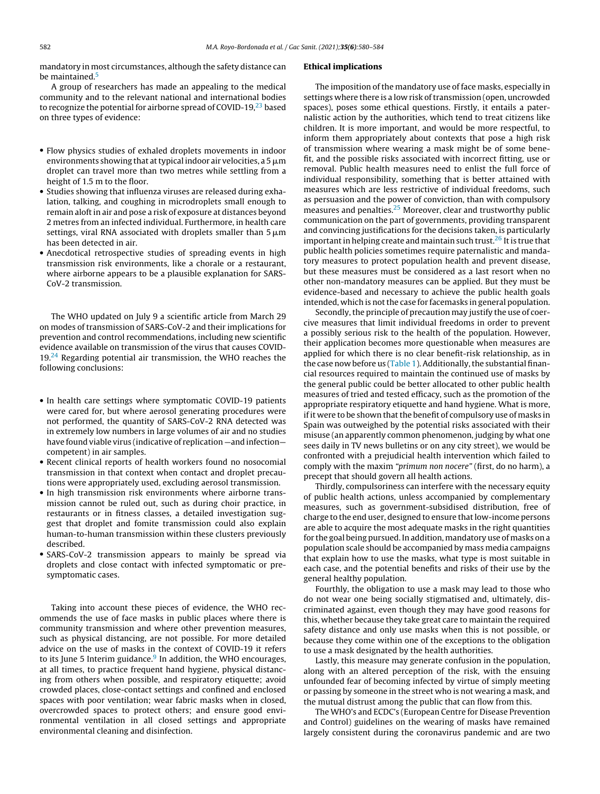mandatory in most circumstances, although the safety distance can be maintained.<sup>[5](#page-3-0)</sup>

A group of researchers has made an appealing to the medical community and to the relevant national and international bodies to recognize the potential for airborne spread of COVID-19, $^{23}$  $^{23}$  $^{23}$  based on three types of evidence:

- Flow physics studies of exhaled droplets movements in indoor environments showing that at typical indoor air velocities, a 5  $\mu$ m droplet can travel more than two metres while settling from a height of 1.5 m to the floor.
- Studies showing that influenza viruses are released during exhalation, talking, and coughing in microdroplets small enough to remain aloft in air and pose a risk of exposure at distances beyond 2 metres from an infected individual. Furthermore, in health care settings, viral RNA associated with droplets smaller than 5  $\mu$ m has been detected in air.
- Anecdotical retrospective studies of spreading events in high transmission risk environments, like a chorale or a restaurant, where airborne appears to be a plausible explanation for SARS-CoV-2 transmission.

The WHO updated on July 9 a scientific article from March 29 on modes of transmission of SARS-CoV-2 and their implications for prevention and control recommendations, including new scientific evidence available on transmission of the virus that causes COVID- $19<sup>24</sup>$  $19<sup>24</sup>$  $19<sup>24</sup>$  Regarding potential air transmission, the WHO reaches the following conclusions:

- In health care settings where symptomatic COVID-19 patients were cared for, but where aerosol generating procedures were not performed, the quantity of SARS-CoV-2 RNA detected was in extremely low numbers in large volumes of air and no studies have found viable virus (indicative of replication —and infection competent) in air samples.
- Recent clinical reports of health workers found no nosocomial transmission in that context when contact and droplet precautions were appropriately used, excluding aerosol transmission.
- In high transmission risk environments where airborne transmission cannot be ruled out, such as during choir practice, in restaurants or in fitness classes, a detailed investigation suggest that droplet and fomite transmission could also explain human-to-human transmission within these clusters previously described.
- SARS-CoV-2 transmission appears to mainly be spread via droplets and close contact with infected symptomatic or presymptomatic cases.

Taking into account these pieces of evidence, the WHO recommends the use of face masks in public places where there is community transmission and where other prevention measures, such as physical distancing, are not possible. For more detailed advice on the use of masks in the context of COVID-19 it refers to its June 5 [In](#page-4-0)terim guidance.<sup>9</sup> In addition, the WHO encourages, at all times, to practice frequent hand hygiene, physical distancing from others when possible, and respiratory etiquette; avoid crowded places, close-contact settings and confined and enclosed spaces with poor ventilation; wear fabric masks when in closed, overcrowded spaces to protect others; and ensure good environmental ventilation in all closed settings and appropriate environmental cleaning and disinfection.

#### Ethical implications

The imposition of the mandatory use of face masks, especially in settings where there is a low risk of transmission (open, uncrowded spaces), poses some ethical questions. Firstly, it entails a paternalistic action by the authorities, which tend to treat citizens like children. It is more important, and would be more respectful, to inform them appropriately about contexts that pose a high risk of transmission where wearing a mask might be of some benefit, and the possible risks associated with incorrect fitting, use or removal. Public health measures need to enlist the full force of individual responsibility, something that is better attained with measures which are less restrictive of individual freedoms, such as persuasion and the power of conviction, than with compulsory measures and penalties.<sup>[25](#page-4-0)</sup> Moreover, clear and trustworthy public communication on the part of governments, providing transparent and convincing justifications for the decisions taken, is particularly important in helping create and maintain such trust.<sup>[26](#page-4-0)</sup> It is true that public health policies sometimes require paternalistic and mandatory measures to protect population health and prevent disease, but these measures must be considered as a last resort when no other non-mandatory measures can be applied. But they must be evidence-based and necessary to achieve the public health goals intended, which is not the case for facemasks in general population.

Secondly, the principle of precaution may justify the use of coercive measures that limit individual freedoms in order to prevent a possibly serious risk to the health of the population. However, their application becomes more questionable when measures are applied for which there is no clear benefit-risk relationship, as in the case now before us ([Table](#page-3-0) 1). Additionally, the substantial financial resources required to maintain the continued use of masks by the general public could be better allocated to other public health measures of tried and tested efficacy, such as the promotion of the appropriate respiratory etiquette and hand hygiene. What is more, if it were to be shown that the benefit of compulsory use of masks in Spain was outweighed by the potential risks associated with their misuse (an apparently common phenomenon, judging by what one sees daily in TV news bulletins or on any city street), we would be confronted with a prejudicial health intervention which failed to comply with the maxim *"primum non nocere"* (first, do no harm), a precept that should govern all health actions.

Thirdly, compulsoriness can interfere with the necessary equity of public health actions, unless accompanied by complementary measures, such as government-subsidised distribution, free of charge to the end user, designed to ensure that low-income persons are able to acquire the most adequate masks in the right quantities for the goal being pursued. In addition, mandatory use of masks on a population scale should be accompanied by mass media campaigns that explain how to use the masks, what type is most suitable in each case, and the potential benefits and risks of their use by the general healthy population.

Fourthly, the obligation to use a mask may lead to those who do not wear one being socially stigmatised and, ultimately, discriminated against, even though they may have good reasons for this, whether because they take great care to maintain the required safety distance and only use masks when this is not possible, or because they come within one of the exceptions to the obligation to use a mask designated by the health authorities.

Lastly, this measure may generate confusion in the population, along with an altered perception of the risk, with the ensuing unfounded fear of becoming infected by virtue of simply meeting or passing by someone in the street who is not wearing a mask, and the mutual distrust among the public that can flow from this.

The WHO's and ECDC's (European Centre for Disease Prevention and Control) guidelines on the wearing of masks have remained largely consistent during the coronavirus pandemic and are two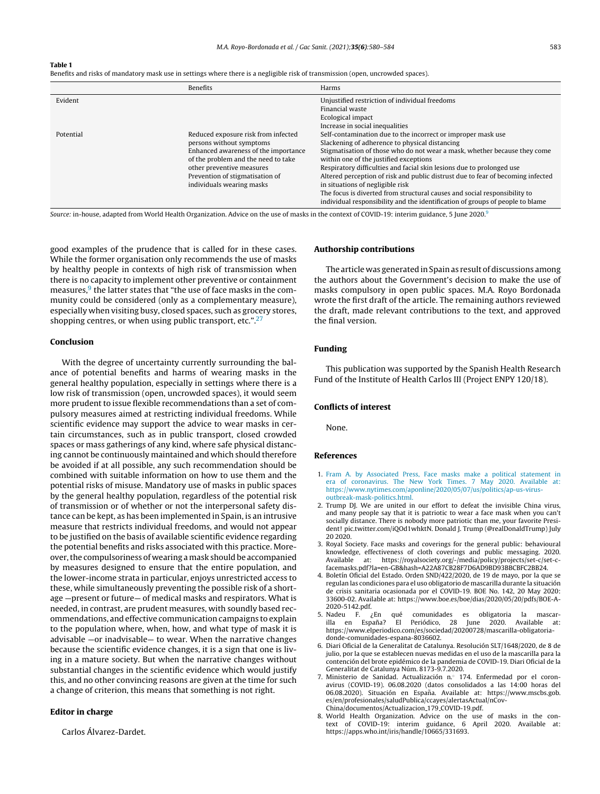#### <span id="page-3-0"></span>Table 1

Benefits and risks of mandatory mask use in settings where there is a negligible risk of transmission (open, uncrowded spaces).

|           | Benefits                             | Harms                                                                           |
|-----------|--------------------------------------|---------------------------------------------------------------------------------|
| Evident   |                                      | Unjustified restriction of individual freedoms                                  |
|           |                                      | Financial waste                                                                 |
|           |                                      | Ecological impact                                                               |
|           |                                      | Increase in social inequalities                                                 |
| Potential | Reduced exposure risk from infected  | Self-contamination due to the incorrect or improper mask use                    |
|           | persons without symptoms             | Slackening of adherence to physical distancing                                  |
|           | Enhanced awareness of the importance | Stigmatisation of those who do not wear a mask, whether because they come       |
|           | of the problem and the need to take  | within one of the justified exceptions                                          |
|           | other preventive measures            | Respiratory difficulties and facial skin lesions due to prolonged use           |
|           | Prevention of stigmatisation of      | Altered perception of risk and public distrust due to fear of becoming infected |
|           | individuals wearing masks            | in situations of negligible risk                                                |
|           |                                      | The focus is diverted from structural causes and social responsibility to       |
|           |                                      | individual responsibility and the identification of groups of people to blame   |

*Source:* in-house, adapted from World Health Organization. Advice on the use of masks in the context of COVID-19: interim guidance, 5 June 2020.[9](#page-4-0)

good examples of the prudence that is called for in these cases. While the former organisation only recommends the use of masks by healthy people in contexts of high risk of transmission when there is no capacity to implement other preventive or containment measures,<sup>9</sup> [t](#page-4-0)he latter states that "the use of face masks in the community could be considered (only as a complementary measure), especially when visiting busy, closed spaces, such as grocery stores, shopping centres, or when using public transport, etc.". $27$ 

#### Conclusion

With the degree of uncertainty currently surrounding the balance of potential benefits and harms of wearing masks in the general healthy population, especially in settings where there is a low risk of transmission (open, uncrowded spaces), it would seem more prudent to issue flexible recommendations than a set of compulsory measures aimed at restricting individual freedoms. While scientific evidence may support the advice to wear masks in certain circumstances, such as in public transport, closed crowded spaces or mass gatherings of any kind, where safe physical distancing cannot be continuously maintained and which should therefore be avoided if at all possible, any such recommendation should be combined with suitable information on how to use them and the potential risks of misuse. Mandatory use of masks in public spaces by the general healthy population, regardless of the potential risk of transmission or of whether or not the interpersonal safety distance can be kept, as has been implemented in Spain, is an intrusive measure that restricts individual freedoms, and would not appear to be justified on the basis of available scientific evidence regarding the potential benefits and risks associated with this practice. Moreover,the compulsoriness of wearing amask should be accompanied by measures designed to ensure that the entire population, and the lower-income strata in particular, enjoys unrestricted access to these, while simultaneously preventing the possible risk of a shortage —present or future— of medical masks and respirators. What is needed, in contrast, are prudent measures, with soundly based recommendations, and effective communication campaigns to explain to the population where, when, how, and what type of mask it is advisable —or inadvisable— to wear. When the narrative changes because the scientific evidence changes, it is a sign that one is living in a mature society. But when the narrative changes without substantial changes in the scientific evidence which would justify this, and no other convincing reasons are given at the time for such a change of criterion, this means that something is not right.

# Editor in charge

Carlos Álvarez-Dardet.

# Authorship contributions

The article was generated in Spain as result of discussions among the authors about the Government's decision to make the use of masks compulsory in open public spaces. M.A. Royo Bordonada wrote the first draft of the article. The remaining authors reviewed the draft, made relevant contributions to the text, and approved the final version.

# Funding

This publication was supported by the Spanish Health Research Fund of the Institute of Health Carlos III (Project ENPY 120/18).

#### Conflicts of interest

None.

#### References

- 1. [Fram](http://refhub.elsevier.com/S0213-9111(20)30199-0/sbref0140) [A.](http://refhub.elsevier.com/S0213-9111(20)30199-0/sbref0140) [by](http://refhub.elsevier.com/S0213-9111(20)30199-0/sbref0140) [Associated](http://refhub.elsevier.com/S0213-9111(20)30199-0/sbref0140) [Press,](http://refhub.elsevier.com/S0213-9111(20)30199-0/sbref0140) [Face](http://refhub.elsevier.com/S0213-9111(20)30199-0/sbref0140) [masks](http://refhub.elsevier.com/S0213-9111(20)30199-0/sbref0140) [make](http://refhub.elsevier.com/S0213-9111(20)30199-0/sbref0140) [a](http://refhub.elsevier.com/S0213-9111(20)30199-0/sbref0140) [political](http://refhub.elsevier.com/S0213-9111(20)30199-0/sbref0140) [statement](http://refhub.elsevier.com/S0213-9111(20)30199-0/sbref0140) [in](http://refhub.elsevier.com/S0213-9111(20)30199-0/sbref0140) [era](http://refhub.elsevier.com/S0213-9111(20)30199-0/sbref0140) [of](http://refhub.elsevier.com/S0213-9111(20)30199-0/sbref0140) [coronavirus.](http://refhub.elsevier.com/S0213-9111(20)30199-0/sbref0140) [The](http://refhub.elsevier.com/S0213-9111(20)30199-0/sbref0140) [New](http://refhub.elsevier.com/S0213-9111(20)30199-0/sbref0140) [York](http://refhub.elsevier.com/S0213-9111(20)30199-0/sbref0140) [Times.](http://refhub.elsevier.com/S0213-9111(20)30199-0/sbref0140) [7](http://refhub.elsevier.com/S0213-9111(20)30199-0/sbref0140) [May](http://refhub.elsevier.com/S0213-9111(20)30199-0/sbref0140) [2020.](http://refhub.elsevier.com/S0213-9111(20)30199-0/sbref0140) [Available](http://refhub.elsevier.com/S0213-9111(20)30199-0/sbref0140) [at:](http://refhub.elsevier.com/S0213-9111(20)30199-0/sbref0140) [https://www.nytimes.com/aponline/2020/05/07/us/politics/ap-us-virus](http://refhub.elsevier.com/S0213-9111(20)30199-0/sbref0140)[outbreak-mask-politics.html.](http://refhub.elsevier.com/S0213-9111(20)30199-0/sbref0140)
- 2. Trump DJ. We are united in our effort to defeat the invisible China virus, and many people say that it is patriotic to wear a face mask when you can't socially distance. There is nobody more patriotic than me, your favorite President! pic.twitter.com/iQOd1whktN. Donald J. Trump (@realDonaldTrump) July 20 2020.
- 3. Royal Society. Face masks and coverings for the general public: behavioural knowledge, effectiveness of cloth coverings and public messaging. 2020. Available at: https://royalsociety.org/-/media/policy/projects/set-c/set-cfacemasks.pdf?la=en-GB&hash=A22A87CB28F7D6AD9BD93BBCBFC2BB24.
- 4. Boletín Oficial del Estado. Orden SND/422/2020, de 19 de mayo, por la que se regulan las condiciones para el uso obligatorio de mascarilla durante la situación de crisis sanitaria ocasionada por el COVID-19. BOE No. 142, 20 May 2020: 33600-02. Available at: https://www.boe.es/boe/dias/2020/05/20/pdfs/BOE-A-2020-5142.pdf.<br>5. Nadeu F. ¿En
- 5. Nadeu F. ¿En qué comunidades es obligatoria la mascar-El Periódico, 28 June 2020. Available at: https://www.elperiodico.com/es/sociedad/20200728/mascarilla-obligatoriadonde-comunidades-espana-8036602.
- 6. Diari Oficial de la Generalitat de Catalunya. Resolución SLT/1648/2020, de 8 de julio, por la que se establecen nuevas medidas en el uso de la mascarilla para la contención del brote epidémico de la pandemia de COVID-19. Diari Oficial de la Generalitat de Catalunya Núm. 8173-9.7.2020.
- 7. Ministerio de Sanidad. Actualización n.◦ 174. Enfermedad por el coronavirus (COVID-19). 06.08.2020 (datos consolidados a las 14:00 horas del 06.08.2020). Situación en España. Available at: https://www.mscbs.gob. es/en/profesionales/saludPublica/ccayes/alertasActual/nCov-China/documentos/Actualizacion 179 COVID-19.pdf.
- 8. World Health Organization. Advice on the use of masks in the context of COVID-19: interim guidance, 6 April 2020. Available at: https://apps.who.int/iris/handle/10665/331693.